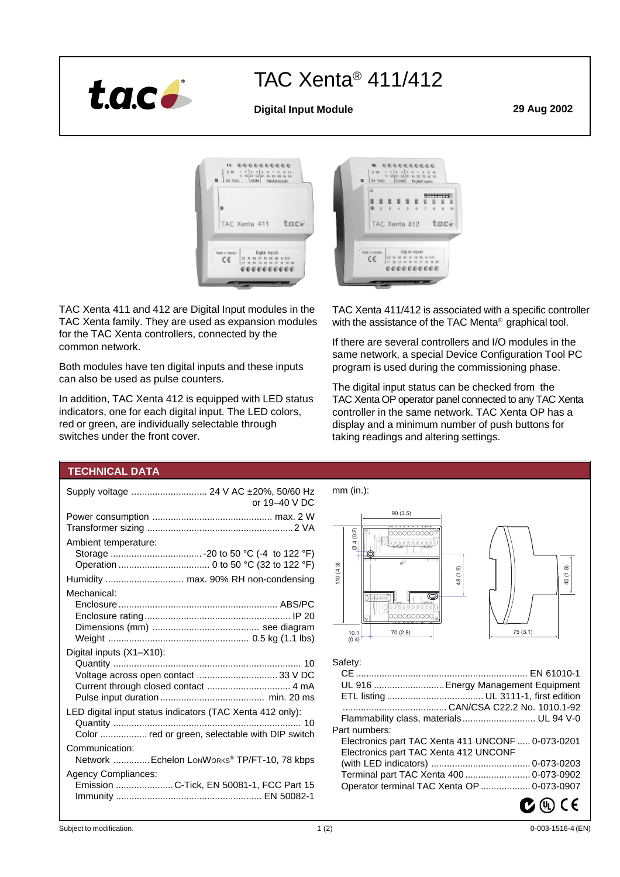

# TAC Xenta® 411/412

# **Digital Input Module 29 Aug 2002**



TAC Xenta 411 and 412 are Digital Input modules in the TAC Xenta family. They are used as expansion modules for the TAC Xenta controllers, connected by the common network.

Both modules have ten digital inputs and these inputs can also be used as pulse counters.

In addition, TAC Xenta 412 is equipped with LED status indicators, one for each digital input. The LED colors, red or green, are individually selectable through switches under the front cover.



TAC Xenta 411/412 is associated with a specific controller with the assistance of the TAC Menta<sup>®</sup> graphical tool.

If there are several controllers and I/O modules in the same network, a special Device Configuration Tool PC program is used during the commissioning phase.

The digital input status can be checked from the TAC Xenta OP operator panel connected to any TAC Xenta controller in the same network. TAC Xenta OP has a display and a minimum number of push buttons for taking readings and altering settings.

# **TECHNICAL DATA**

| Supply voltage  24 V AC ±20%, 50/60 Hz<br>or 19-40 V DC                                                      |
|--------------------------------------------------------------------------------------------------------------|
|                                                                                                              |
| Ambient temperature:                                                                                         |
| Humidity  max. 90% RH non-condensing                                                                         |
| Mechanical:                                                                                                  |
| Digital inputs (X1-X10):                                                                                     |
| LED digital input status indicators (TAC Xenta 412 only):<br>Color  red or green, selectable with DIP switch |
| Communication:<br>Network  Echelon LonWorks <sup>®</sup> TP/FT-10, 78 kbps                                   |
| <b>Agency Compliances:</b><br>Emission C-Tick, EN 50081-1, FCC Part 15                                       |